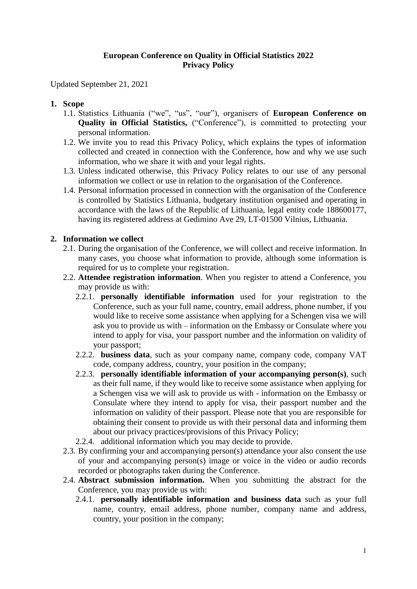## **European Conference on Quality in Official Statistics 2022 Privacy Policy**

Updated September 21, 2021

# **1. Scope**

- 1.1. Statistics Lithuania ("we", "us", "our"), organisers of **European Conference on Quality in Official Statistics, ("Conference"), is committed to protecting your** personal information.
- 1.2. We invite you to read this Privacy Policy, which explains the types of information collected and created in connection with the Conference, how and why we use such information, who we share it with and your legal rights.
- 1.3. Unless indicated otherwise, this Privacy Policy relates to our use of any personal information we collect or use in relation to the organisation of the Conference.
- 1.4. Personal information processed in connection with the organisation of the Conference is controlled by Statistics Lithuania, budgetary institution organised and operating in accordance with the laws of the Republic of Lithuania, legal entity code 188600177, having its registered address at Gedimino Ave 29, LT-01500 Vilnius, Lithuania.

### **2. Information we collect**

- 2.1. During the organisation of the Conference, we will collect and receive information. In many cases, you choose what information to provide, although some information is required for us to complete your registration.
- 2.2. **Attendee registration information**. When you register to attend a Conference, you may provide us with:
	- 2.2.1. **personally identifiable information** used for your registration to the Conference, such as your full name, country, email address, phone number, if you would like to receive some assistance when applying for a Schengen visa we will ask you to provide us with – information on the Embassy or Consulate where you intend to apply for visa, your passport number and the information on validity of your passport;
	- 2.2.2. **business data**, such as your company name, company code, company VAT code, company address, country, your position in the company;
	- 2.2.3. **personally identifiable information of your accompanying person(s)**, such as their full name, if they would like to receive some assistance when applying for a Schengen visa we will ask to provide us with - information on the Embassy or Consulate where they intend to apply for visa, their passport number and the information on validity of their passport. Please note that you are responsible for obtaining their consent to provide us with their personal data and informing them about our privacy practices/provisions of this Privacy Policy;
	- 2.2.4. additional information which you may decide to provide.
- 2.3. By confirming your and accompanying person(s) attendance your also consent the use of your and accompanying person(s) image or voice in the video or audio records recorded or photographs taken during the Conference.
- 2.4. **Abstract submission information.** When you submitting the abstract for the Conference, you may provide us with:
	- 2.4.1. **personally identifiable information and business data** such as your full name, country, email address, phone number, company name and address, country, your position in the company;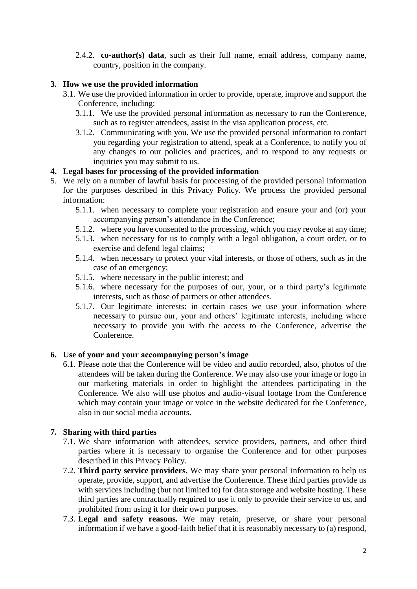2.4.2. **co-author(s) data**, such as their full name, email address, company name, country, position in the company.

## **3. How we use the provided information**

- 3.1. We use the provided information in order to provide, operate, improve and support the Conference, including:
	- 3.1.1. We use the provided personal information as necessary to run the Conference, such as to register attendees, assist in the visa application process, etc.
	- 3.1.2. Communicating with you. We use the provided personal information to contact you regarding your registration to attend, speak at a Conference, to notify you of any changes to our policies and practices, and to respond to any requests or inquiries you may submit to us.

## **4. Legal bases for processing of the provided information**

- 5. We rely on a number of lawful basis for processing of the provided personal information for the purposes described in this Privacy Policy. We process the provided personal information:
	- 5.1.1. when necessary to complete your registration and ensure your and (or) your accompanying person's attendance in the Conference;
	- 5.1.2. where you have consented to the processing, which you may revoke at any time;
	- 5.1.3. when necessary for us to comply with a legal obligation, a court order, or to exercise and defend legal claims;
	- 5.1.4. when necessary to protect your vital interests, or those of others, such as in the case of an emergency;
	- 5.1.5. where necessary in the public interest; and
	- 5.1.6. where necessary for the purposes of our, your, or a third party's legitimate interests, such as those of partners or other attendees.
	- 5.1.7. Our legitimate interests: in certain cases we use your information where necessary to pursue our, your and others' legitimate interests, including where necessary to provide you with the access to the Conference, advertise the Conference.

#### **6. Use of your and your accompanying person's image**

6.1. Please note that the Conference will be video and audio recorded, also, photos of the attendees will be taken during the Conference. We may also use your image or logo in our marketing materials in order to highlight the attendees participating in the Conference. We also will use photos and audio-visual footage from the Conference which may contain your image or voice in the website dedicated for the Conference, also in our social media accounts.

# **7. Sharing with third parties**

- 7.1. We share information with attendees, service providers, partners, and other third parties where it is necessary to organise the Conference and for other purposes described in this Privacy Policy.
- 7.2. **Third party service providers.** We may share your personal information to help us operate, provide, support, and advertise the Conference. These third parties provide us with services including (but not limited to) for data storage and website hosting. These third parties are contractually required to use it only to provide their service to us, and prohibited from using it for their own purposes.
- 7.3. **Legal and safety reasons.** We may retain, preserve, or share your personal information if we have a good-faith belief that it is reasonably necessary to (a) respond,